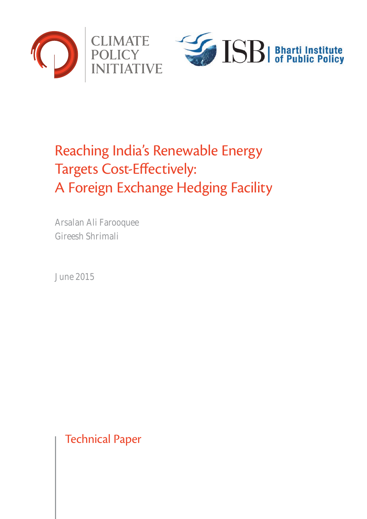

# Reaching India's Renewable Energy Targets Cost-Effectively: A Foreign Exchange Hedging Facility

Arsalan Ali Farooquee Gireesh Shrimali

June 2015

Technical Paper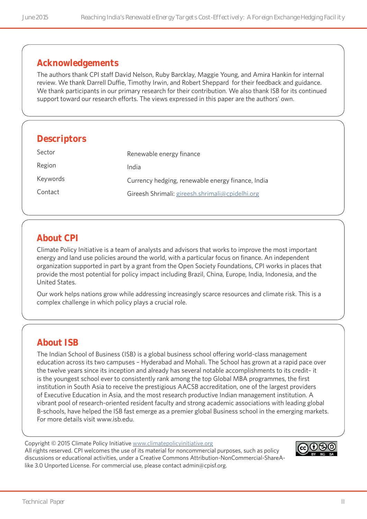## **Acknowledgements**

The authors thank CPI staff David Nelson, Ruby Barcklay, Maggie Young, and Amira Hankin for internal review. We thank Darrell Duffie, Timothy Irwin, and Robert Sheppard for their feedback and guidance. We thank participants in our primary research for their contribution. We also thank ISB for its continued support toward our research efforts. The views expressed in this paper are the authors' own.

## **Descriptors**

| Sector   | Renewable energy finance                          |
|----------|---------------------------------------------------|
| Region   | India                                             |
| Keywords | Currency hedging, renewable energy finance, India |
| Contact  | Gireesh Shrimali: gireesh.shrimali@cpidelhi.org   |

## **About CPI**

Climate Policy Initiative is a team of analysts and advisors that works to improve the most important energy and land use policies around the world, with a particular focus on finance. An independent organization supported in part by a grant from the Open Society Foundations, CPI works in places that provide the most potential for policy impact including Brazil, China, Europe, India, Indonesia, and the United States.

Our work helps nations grow while addressing increasingly scarce resources and climate risk. This is a complex challenge in which policy plays a crucial role.

## **About ISB**

The Indian School of Business (ISB) is a global business school offering world-class management education across its two campuses – Hyderabad and Mohali. The School has grown at a rapid pace over the twelve years since its inception and already has several notable accomplishments to its credit– it is the youngest school ever to consistently rank among the top Global MBA programmes, the first institution in South Asia to receive the prestigious AACSB accreditation, one of the largest providers of Executive Education in Asia, and the most research productive Indian management institution. A vibrant pool of research-oriented resident faculty and strong academic associations with leading global B-schools, have helped the ISB fast emerge as a premier global Business school in the emerging markets. For more details visit www.isb.edu.

Copyright © 2015 Climate Policy Initiative [www.climatepolicyinitiative.org](http://www.climatepolicyinitiative.org ) All rights reserved. CPI welcomes the use of its material for noncommercial purposes, such as policy discussions or educational activities, under a Creative Commons Attribution-NonCommercial-ShareAlike 3.0 Unported License. For commercial use, please contact admin@cpisf.org.

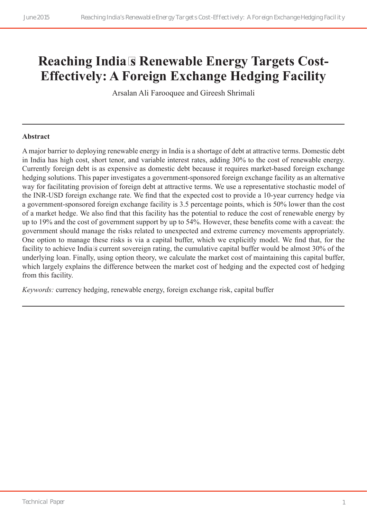## **Reaching India's Renewable Energy Targets Cost-Effectively: A Foreign Exchange Hedging Facility**

Arsalan Ali Farooquee and Gireesh Shrimali

#### **Abstract**

A major barrier to deploying renewable energy in India is a shortage of debt at attractive terms. Domestic debt in India has high cost, short tenor, and variable interest rates, adding 30% to the cost of renewable energy. Currently foreign debt is as expensive as domestic debt because it requires market-based foreign exchange hedging solutions. This paper investigates a government-sponsored foreign exchange facility as an alternative way for facilitating provision of foreign debt at attractive terms. We use a representative stochastic model of the INR-USD foreign exchange rate. We find that the expected cost to provide a 10-year currency hedge via a government-sponsored foreign exchange facility is 3.5 percentage points, which is 50% lower than the cost of a market hedge. We also find that this facility has the potential to reduce the cost of renewable energy by up to 19% and the cost of government support by up to 54%. However, these benefits come with a caveat: the government should manage the risks related to unexpected and extreme currency movements appropriately. One option to manage these risks is via a capital buffer, which we explicitly model. We find that, for the facility to achieve India's current sovereign rating, the cumulative capital buffer would be almost 30% of the underlying loan. Finally, using option theory, we calculate the market cost of maintaining this capital buffer, which largely explains the difference between the market cost of hedging and the expected cost of hedging from this facility.

*Keywords:* currency hedging, renewable energy, foreign exchange risk, capital buffer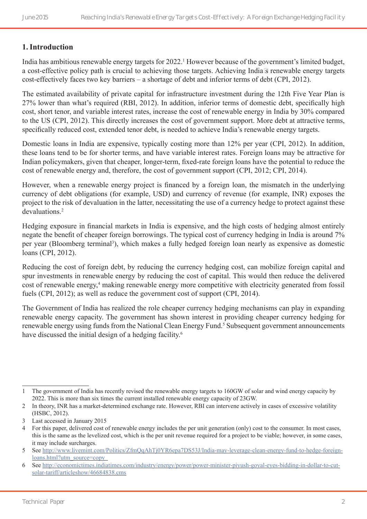### **1.Introduction**

India has ambitious renewable energy targets for 2022.<sup>1</sup> However because of the government's limited budget, a cost-effective policy path is crucial to achieving those targets. Achieving India's renewable energy targets cost-effectively faces two key barriers – a shortage of debt and inferior terms of debt (CPI, 2012).

The estimated availability of private capital for infrastructure investment during the 12th Five Year Plan is 27% lower than what's required (RBI, 2012). In addition, inferior terms of domestic debt, specifically high cost, short tenor, and variable interest rates, increase the cost of renewable energy in India by 30% compared to the US (CPI, 2012). This directly increases the cost of government support. More debt at attractive terms, specifically reduced cost, extended tenor debt, is needed to achieve India's renewable energy targets.

Domestic loans in India are expensive, typically costing more than 12% per year (CPI, 2012). In addition, these loans tend to be for shorter terms, and have variable interest rates. Foreign loans may be attractive for Indian policymakers, given that cheaper, longer-term, fixed-rate foreign loans have the potential to reduce the cost of renewable energy and, therefore, the cost of government support (CPI, 2012; CPI, 2014).

However, when a renewable energy project is financed by a foreign loan, the mismatch in the underlying currency of debt obligations (for example, USD) and currency of revenue (for example, INR) exposes the project to the risk of devaluation in the latter, necessitating the use of a currency hedge to protect against these devaluations<sup>2</sup>

Hedging exposure in financial markets in India is expensive, and the high costs of hedging almost entirely negate the benefit of cheaper foreign borrowings. The typical cost of currency hedging in India is around 7% per year (Bloomberg terminal<sup>3</sup>), which makes a fully hedged foreign loan nearly as expensive as domestic loans (CPI, 2012).

Reducing the cost of foreign debt, by reducing the currency hedging cost, can mobilize foreign capital and spur investments in renewable energy by reducing the cost of capital. This would then reduce the delivered cost of renewable energy,<sup>4</sup> making renewable energy more competitive with electricity generated from fossil fuels (CPI, 2012); as well as reduce the government cost of support (CPI, 2014).

The Government of India has realized the role cheaper currency hedging mechanisms can play in expanding renewable energy capacity. The government has shown interest in providing cheaper currency hedging for renewable energy using funds from the National Clean Energy Fund.<sup>5</sup> Subsequent government announcements have discussed the initial design of a hedging facility.<sup>6</sup>

<sup>1</sup> The government of India has recently revised the renewable energy targets to 160GW of solar and wind energy capacity by 2022. This is more than six times the current installed renewable energy capacity of 23GW.

<sup>2</sup> In theory, INR has a market-determined exchange rate. However, RBI can intervene actively in cases of excessive volatility (HSBC, 2012).

<sup>3</sup> Last accessed in January 2015

<sup>4</sup> For this paper, delivered cost of renewable energy includes the per unit generation (only) cost to the consumer. In most cases, this is the same as the levelized cost, which is the per unit revenue required for a project to be viable; however, in some cases, it may include surcharges.

<sup>5</sup> See [http://www.livemint.com/Politics/ZfmQqAhTj0YR6epa7DS53J/India-may-leverage-clean-energy-fund-to-hedge-foreign](http://www.livemint.com/Politics/ZfmQqAhTj0YR6epa7DS53J/India-may-leverage-clean-energy-fund-to-hedge-foreign-loans.html?utm_source=copy)[loans.html?utm\\_source=copy](http://www.livemint.com/Politics/ZfmQqAhTj0YR6epa7DS53J/India-may-leverage-clean-energy-fund-to-hedge-foreign-loans.html?utm_source=copy)

<sup>6</sup> See [http://economictimes.indiatimes.com/industry/energy/power/power-minister-piyush-goyal-eyes-bidding-in-dollar-to-cut](http://economictimes.indiatimes.com/industry/energy/power/power-minister-piyush-goyal-eyes-bidding-in-dollar-to-cut-solar-tariff/articleshow/46684838.cms)[solar-tariff/articleshow/46684838.cms](http://economictimes.indiatimes.com/industry/energy/power/power-minister-piyush-goyal-eyes-bidding-in-dollar-to-cut-solar-tariff/articleshow/46684838.cms)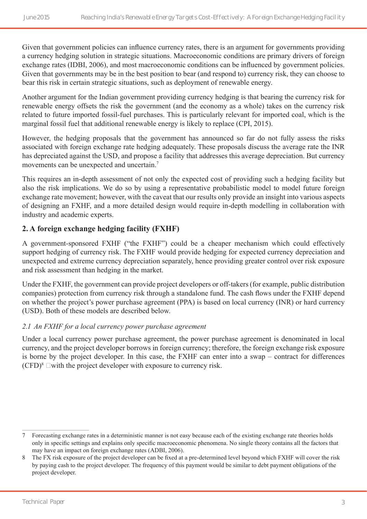Given that government policies can influence currency rates, there is an argument for governments providing a currency hedging solution in strategic situations. Macroeconomic conditions are primary drivers of foreign exchange rates (IDBI, 2006), and most macroeconomic conditions can be influenced by government policies. Given that governments may be in the best position to bear (and respond to) currency risk, they can choose to bear this risk in certain strategic situations, such as deployment of renewable energy.

Another argument for the Indian government providing currency hedging is that bearing the currency risk for renewable energy offsets the risk the government (and the economy as a whole) takes on the currency risk related to future imported fossil-fuel purchases. This is particularly relevant for imported coal, which is the marginal fossil fuel that additional renewable energy is likely to replace (CPI, 2015).

However, the hedging proposals that the government has announced so far do not fully assess the risks associated with foreign exchange rate hedging adequately. These proposals discuss the average rate the INR has depreciated against the USD, and propose a facility that addresses this average depreciation. But currency movements can be unexpected and uncertain.7

This requires an in-depth assessment of not only the expected cost of providing such a hedging facility but also the risk implications. We do so by using a representative probabilistic model to model future foreign exchange rate movement; however, with the caveat that our results only provide an insight into various aspects of designing an FXHF, and a more detailed design would require in-depth modelling in collaboration with industry and academic experts.

#### **2. A foreign exchange hedging facility (FXHF)**

A government-sponsored FXHF ("the FXHF") could be a cheaper mechanism which could effectively support hedging of currency risk. The FXHF would provide hedging for expected currency depreciation and unexpected and extreme currency depreciation separately, hence providing greater control over risk exposure and risk assessment than hedging in the market.

Under the FXHF, the government can provide project developers or off-takers (for example, public distribution companies) protection from currency risk through a standalone fund. The cash flows under the FXHF depend on whether the project's power purchase agreement (PPA) is based on local currency (INR) or hard currency (USD). Both of these models are described below.

#### *2.1 An FXHF for a local currency power purchase agreement*

Under a local currency power purchase agreement, the power purchase agreement is denominated in local currency, and the project developer borrows in foreign currency; therefore, the foreign exchange risk exposure is borne by the project developer. In this case, the FXHF can enter into a swap – contract for differences  $(CFD)<sup>8</sup>$  – with the project developer with exposure to currency risk.

<sup>7</sup> Forecasting exchange rates in a deterministic manner is not easy because each of the existing exchange rate theories holds only in specific settings and explains only specific macroeconomic phenomena. No single theory contains all the factors that may have an impact on foreign exchange rates (ADBI, 2006).

<sup>8</sup> The FX risk exposure of the project developer can be fixed at a pre-determined level beyond which FXHF will cover the risk by paying cash to the project developer. The frequency of this payment would be similar to debt payment obligations of the project developer.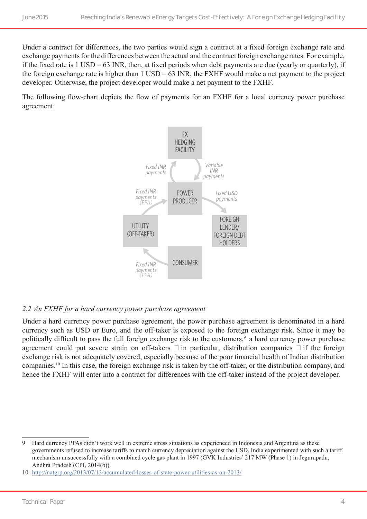Under a contract for differences, the two parties would sign a contract at a fixed foreign exchange rate and exchange payments for the differences between the actual and the contract foreign exchange rates. For example, if the fixed rate is 1 USD = 63 INR, then, at fixed periods when debt payments are due (yearly or quarterly), if the foreign exchange rate is higher than  $1 \text{ USD} = 63 \text{ INR}$ , the FXHF would make a net payment to the project developer. Otherwise, the project developer would make a net payment to the FXHF.

The following flow-chart depicts the flow of payments for an FXHF for a local currency power purchase agreement:



#### *2.2 An FXHF for a hard currency power purchase agreement*

Under a hard currency power purchase agreement, the power purchase agreement is denominated in a hard currency such as USD or Euro, and the off-taker is exposed to the foreign exchange risk. Since it may be politically difficult to pass the full foreign exchange risk to the customers,<sup>9</sup> a hard currency power purchase agreement could put severe strain on off-takers – in particular, distribution companies – if the foreign exchange risk is not adequately covered, especially because of the poor financial health of Indian distribution companies.10 In this case, the foreign exchange risk is taken by the off-taker, or the distribution company, and hence the FXHF will enter into a contract for differences with the off-taker instead of the project developer.

<sup>9</sup> Hard currency PPAs didn't work well in extreme stress situations as experienced in Indonesia and Argentina as these governments refused to increase tariffs to match currency depreciation against the USD. India experimented with such a tariff mechanism unsuccessfully with a combined cycle gas plant in 1997 (GVK Industries' 217 MW (Phase 1) in Jegurupadu, Andhra Pradesh (CPI, 2014(b)).

<sup>10</sup> <http://natgrp.org/2013/07/13/accumulated-losses-of-state-power-utilities-as-on-2013/>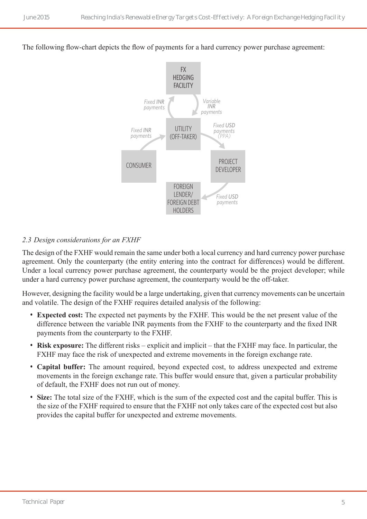The following flow-chart depicts the flow of payments for a hard currency power purchase agreement:



#### *2.3 Design considerations for an FXHF*

The design of the FXHF would remain the same under both a local currency and hard currency power purchase agreement. Only the counterparty (the entity entering into the contract for differences) would be different. Under a local currency power purchase agreement, the counterparty would be the project developer; while under a hard currency power purchase agreement, the counterparty would be the off-taker.

However, designing the facility would be a large undertaking, given that currency movements can be uncertain and volatile. The design of the FXHF requires detailed analysis of the following:

- **Expected cost:** The expected net payments by the FXHF. This would be the net present value of the difference between the variable INR payments from the FXHF to the counterparty and the fixed INR payments from the counterparty to the FXHF.
- **Risk exposure:** The different risks explicit and implicit that the FXHF may face. In particular, the FXHF may face the risk of unexpected and extreme movements in the foreign exchange rate.
- **Capital buffer:** The amount required, beyond expected cost, to address unexpected and extreme movements in the foreign exchange rate. This buffer would ensure that, given a particular probability of default, the FXHF does not run out of money.
- **Size:** The total size of the FXHF, which is the sum of the expected cost and the capital buffer. This is the size of the FXHF required to ensure that the FXHF not only takes care of the expected cost but also provides the capital buffer for unexpected and extreme movements.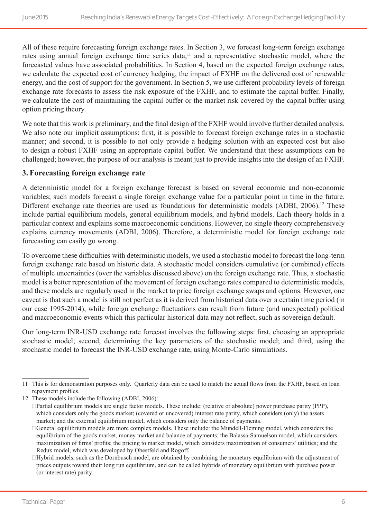All of these require forecasting foreign exchange rates. In Section 3, we forecast long-term foreign exchange rates using annual foreign exchange time series data,<sup>11</sup> and a representative stochastic model, where the forecasted values have associated probabilities. In Section 4, based on the expected foreign exchange rates, we calculate the expected cost of currency hedging, the impact of FXHF on the delivered cost of renewable energy, and the cost of support for the government. In Section 5, we use different probability levels of foreign exchange rate forecasts to assess the risk exposure of the FXHF, and to estimate the capital buffer. Finally, we calculate the cost of maintaining the capital buffer or the market risk covered by the capital buffer using option pricing theory.

We note that this work is preliminary, and the final design of the FXHF would involve further detailed analysis. We also note our implicit assumptions: first, it is possible to forecast foreign exchange rates in a stochastic manner; and second, it is possible to not only provide a hedging solution with an expected cost but also to design a robust FXHF using an appropriate capital buffer. We understand that these assumptions can be challenged; however, the purpose of our analysis is meant just to provide insights into the design of an FXHF.

#### **3. Forecasting foreign exchange rate**

A deterministic model for a foreign exchange forecast is based on several economic and non-economic variables; such models forecast a single foreign exchange value for a particular point in time in the future. Different exchange rate theories are used as foundations for deterministic models (ADBI, 2006).<sup>12</sup> These include partial equilibrium models, general equilibrium models, and hybrid models. Each theory holds in a particular context and explains some macroeconomic conditions. However, no single theory comprehensively explains currency movements (ADBI, 2006). Therefore, a deterministic model for foreign exchange rate forecasting can easily go wrong.

To overcome these difficulties with deterministic models, we used a stochastic model to forecast the long-term foreign exchange rate based on historic data. A stochastic model considers cumulative (or combined) effects of multiple uncertainties (over the variables discussed above) on the foreign exchange rate. Thus, a stochastic model is a better representation of the movement of foreign exchange rates compared to deterministic models, and these models are regularly used in the market to price foreign exchange swaps and options. However, one caveat is that such a model is still not perfect as it is derived from historical data over a certain time period (in our case 1995-2014), while foreign exchange fluctuations can result from future (and unexpected) political and macroeconomic events which this particular historical data may not reflect, such as sovereign default.

Our long-term INR-USD exchange rate forecast involves the following steps: first, choosing an appropriate stochastic model; second, determining the key parameters of the stochastic model; and third, using the stochastic model to forecast the INR-USD exchange rate, using Monte-Carlo simulations.

<sup>11</sup> This is for demonstration purposes only. Quarterly data can be used to match the actual flows from the FXHF, based on loan repayment profiles.

<sup>12</sup> These models include the following (ADBI, 2006):

<sup>•</sup> Partial equilibrium models are single factor models. These include: (relative or absolute) power purchase parity (PPP), which considers only the goods market; (covered or uncovered) interest rate parity, which considers (only) the assets market; and the external equilibrium model, which considers only the balance of payments.

<sup>•</sup> General equilibrium models are more complex models. These include: the Mundell-Fleming model, which considers the equilibrium of the goods market, money market and balance of payments; the Balassa-Samuelson model, which considers maximization of firms' profits; the pricing to market model, which considers maximization of consumers' utilities; and the Redux model, which was developed by Obestfeld and Rogoff.

<sup>•</sup> Hybrid models, such as the Dornbusch model, are obtained by combining the monetary equilibrium with the adjustment of prices outputs toward their long run equilibrium, and can be called hybrids of monetary equilibrium with purchase power (or interest rate) parity.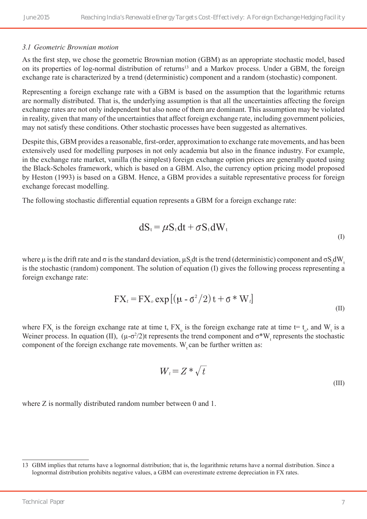#### *3.1 Geometric Brownian motion*

As the first step, we chose the geometric Brownian motion (GBM) as an appropriate stochastic model, based on its properties of log-normal distribution of returns<sup>13</sup> and a Markov process. Under a GBM, the foreign exchange rate is characterized by a trend (deterministic) component and a random (stochastic) component.

Representing a foreign exchange rate with a GBM is based on the assumption that the logarithmic returns are normally distributed. That is, the underlying assumption is that all the uncertainties affecting the foreign exchange rates are not only independent but also none of them are dominant. This assumption may be violated in reality, given that many of the uncertainties that affect foreign exchange rate, including government policies, may not satisfy these conditions. Other stochastic processes have been suggested as alternatives.

Despite this, GBM provides a reasonable, first-order, approximation to exchange rate movements, and has been extensively used for modelling purposes in not only academia but also in the finance industry. For example, in the exchange rate market, vanilla (the simplest) foreign exchange option prices are generally quoted using the Black-Scholes framework, which is based on a GBM. Also, the currency option pricing model proposed by Heston (1993) is based on a GBM. Hence, a GBM provides a suitable representative process for foreign exchange forecast modelling.

The following stochastic differential equation represents a GBM for a foreign exchange rate:

$$
dS_t = \mu S_t dt + \sigma S_t dW_t
$$
 (I)

where  $\mu$  is the drift rate and  $\sigma$  is the standard deviation,  $\mu S_t$ dt is the trend (deterministic) component and  $\sigma S_t dW_t$ is the stochastic (random) component. The solution of equation (I) gives the following process representing a foreign exchange rate:

$$
FX_t = FX_o \exp\left[\left(\mu - \sigma^2/2\right)t + \sigma * W_t\right]
$$
\n<sup>(II)</sup>

where  $FX_t$  is the foreign exchange rate at time t,  $FX_o$  is the foreign exchange rate at time  $t=t_o$ , and  $W_t$  is a Weiner process. In equation (II),  $(\mu - \sigma^2/2)$ t represents the trend component and  $\sigma^*W_t$  represents the stochastic component of the foreign exchange rate movements. W<sub>r</sub> can be further written as:

$$
W_t = Z * \sqrt{t}
$$
 (III)

where Z is normally distributed random number between 0 and 1.

<sup>13</sup> GBM implies that returns have a lognormal distribution; that is, the logarithmic returns have a normal distribution. Since a lognormal distribution prohibits negative values, a GBM can overestimate extreme depreciation in FX rates.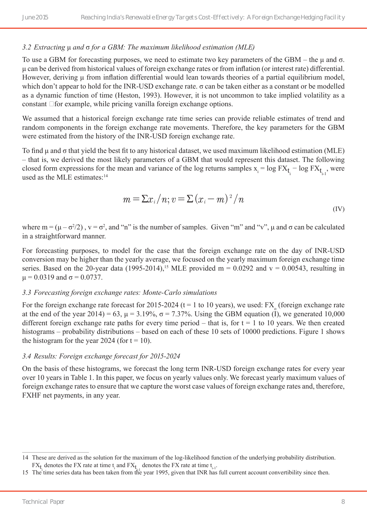#### *3.2 Extracting* μ *and* σ *for a GBM: The maximum likelihood estimation (MLE)*

To use a GBM for forecasting purposes, we need to estimate two key parameters of the GBM – the μ and σ. μ can be derived from historical values of foreign exchange rates or from inflation (or interest rate) differential. However, deriving μ from inflation differential would lean towards theories of a partial equilibrium model, which don't appear to hold for the INR-USD exchange rate. σ can be taken either as a constant or be modelled as a dynamic function of time (Heston, 1993). However, it is not uncommon to take implied volatility as a constant – for example, while pricing vanilla foreign exchange options.

We assumed that a historical foreign exchange rate time series can provide reliable estimates of trend and random components in the foreign exchange rate movements. Therefore, the key parameters for the GBM were estimated from the history of the INR-USD foreign exchange rate.

To find μ and σ that yield the best fit to any historical dataset, we used maximum likelihood estimation (MLE) – that is, we derived the most likely parameters of a GBM that would represent this dataset. The following closed form expressions for the mean and variance of the log returns samples  $x_i = \log FX_{t_i} - \log FX_{t_{i-1}}$ , were used as the MLE estimates: $14$ 

$$
m = \sum x_i / n; v = \sum (x_i - m)^2 / n
$$
\n<sup>(IV)</sup>

where  $m = (\mu - \sigma^2/2)$ ,  $v = \sigma^2$ , and "n" is the number of samples. Given "m" and "v",  $\mu$  and  $\sigma$  can be calculated in a straightforward manner.

For forecasting purposes, to model for the case that the foreign exchange rate on the day of INR-USD conversion may be higher than the yearly average, we focused on the yearly maximum foreign exchange time series. Based on the 20-year data (1995-2014),<sup>15</sup> MLE provided m = 0.0292 and v = 0.00543, resulting in  $\mu$  = 0.0319 and  $\sigma$  = 0.0737.

#### *3.3 Forecasting foreign exchange rates: Monte-Carlo simulations*

For the foreign exchange rate forecast for 2015-2024 ( $t = 1$  to 10 years), we used:  $FX_0$  (foreign exchange rate at the end of the year 2014) = 63,  $\mu$  = 3.19%,  $\sigma$  = 7.37%. Using the GBM equation (I), we generated 10,000 different foreign exchange rate paths for every time period – that is, for  $t = 1$  to 10 years. We then created histograms – probability distributions – based on each of these 10 sets of 10000 predictions. Figure 1 shows the histogram for the year 2024 (for  $t = 10$ ).

#### *3.4 Results: Foreign exchange forecast for 2015-2024*

On the basis of these histograms, we forecast the long term INR-USD foreign exchange rates for every year over 10 years in Table 1. In this paper, we focus on yearly values only. We forecast yearly maximum values of foreign exchange rates to ensure that we capture the worst case values of foreign exchange rates and, therefore, FXHF net payments, in any year.

<sup>14</sup> These are derived as the solution for the maximum of the log-likelihood function of the underlying probability distribution.  $FX_{t_i}$  denotes the FX rate at time  $t_i$  and  $FX_{t_{i-1}}$  denotes the FX rate at time  $t_{i-1}$ .

<sup>15</sup> The time series data has been taken from the year 1995, given that INR has full current account convertibility since then.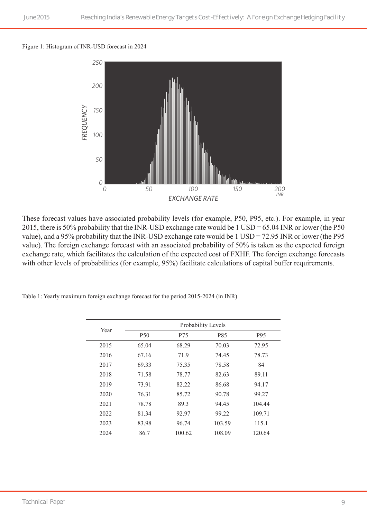#### Figure 1: Histogram of INR-USD forecast in 2024 *Foreign Exchange Rate Forecast, 2024*



These forecast values have associated probability levels (for example, P50, P95, etc.). For example, in year 2015, there is 50% probability that the INR-USD exchange rate would be 1 USD = 65.04 INR or lower (the P50 value), and a 95% probability that the INR-USD exchange rate would be 1 USD = 72.95 INR or lower (the P95 value). The foreign exchange forecast with an associated probability of 50% is taken as the expected foreign exchange rate, which facilitates the calculation of the expected cost of FXHF. The foreign exchange forecasts with other levels of probabilities (for example, 95%) facilitate calculations of capital buffer requirements.

|  |  |  |  | Table 1: Yearly maximum foreign exchange forecast for the period 2015-2024 (in INR) |  |
|--|--|--|--|-------------------------------------------------------------------------------------|--|
|--|--|--|--|-------------------------------------------------------------------------------------|--|

| Year |            | Probability Levels |        |                 |
|------|------------|--------------------|--------|-----------------|
|      | <b>P50</b> | P75                | P85    | P <sub>95</sub> |
| 2015 | 65.04      | 68.29              | 70.03  | 72.95           |
| 2016 | 67.16      | 71.9               | 74.45  | 78.73           |
| 2017 | 69.33      | 75.35              | 78.58  | 84              |
| 2018 | 71.58      | 78.77              | 82.63  | 89.11           |
| 2019 | 73.91      | 82.22              | 86.68  | 94.17           |
| 2020 | 76.31      | 85.72              | 90.78  | 99.27           |
| 2021 | 78.78      | 89.3               | 94.45  | 104.44          |
| 2022 | 81.34      | 92.97              | 99.22  | 109.71          |
| 2023 | 83.98      | 96.74              | 103.59 | 115.1           |
| 2024 | 86.7       | 100.62             | 108.09 | 120.64          |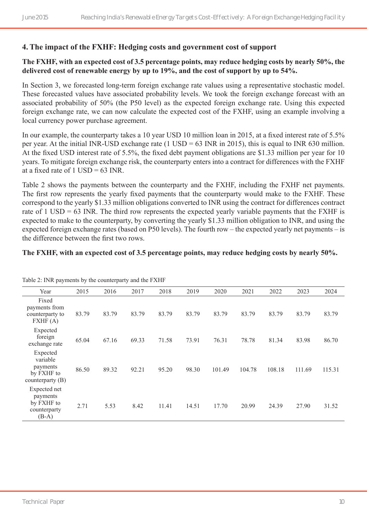#### **4. The impact of the FXHF: Hedging costs and government cost of support**

#### **The FXHF, with an expected cost of 3.5 percentage points, may reduce hedging costs by nearly 50%, the delivered cost of renewable energy by up to 19%, and the cost of support by up to 54%.**

In Section 3, we forecasted long-term foreign exchange rate values using a representative stochastic model. These forecasted values have associated probability levels. We took the foreign exchange forecast with an associated probability of 50% (the P50 level) as the expected foreign exchange rate. Using this expected foreign exchange rate, we can now calculate the expected cost of the FXHF, using an example involving a local currency power purchase agreement.

In our example, the counterparty takes a 10 year USD 10 million loan in 2015, at a fixed interest rate of 5.5% per year. At the initial INR-USD exchange rate (1 USD = 63 INR in 2015), this is equal to INR 630 million. At the fixed USD interest rate of 5.5%, the fixed debt payment obligations are \$1.33 million per year for 10 years. To mitigate foreign exchange risk, the counterparty enters into a contract for differences with the FXHF at a fixed rate of  $1$  USD = 63 INR.

Table 2 shows the payments between the counterparty and the FXHF, including the FXHF net payments. The first row represents the yearly fixed payments that the counterparty would make to the FXHF. These correspond to the yearly \$1.33 million obligations converted to INR using the contract for differences contract rate of 1 USD = 63 INR. The third row represents the expected yearly variable payments that the FXHF is expected to make to the counterparty, by converting the yearly \$1.33 million obligation to INR, and using the expected foreign exchange rates (based on P50 levels). The fourth row – the expected yearly net payments – is the difference between the first two rows.

#### **The FXHF, with an expected cost of 3.5 percentage points, may reduce hedging costs by nearly 50%.**

| Table 2. HAR payments by the counterparty and the FATH               |       |       |       |       |       |        |        |        |        |        |
|----------------------------------------------------------------------|-------|-------|-------|-------|-------|--------|--------|--------|--------|--------|
| Year                                                                 | 2015  | 2016  | 2017  | 2018  | 2019  | 2020   | 2021   | 2022   | 2023   | 2024   |
| Fixed<br>payments from<br>counterparty to<br>FXHF(A)                 | 83.79 | 83.79 | 83.79 | 83.79 | 83.79 | 83.79  | 83.79  | 83.79  | 83.79  | 83.79  |
| Expected<br>foreign<br>exchange rate                                 | 65.04 | 67.16 | 69.33 | 71.58 | 73.91 | 76.31  | 78.78  | 81.34  | 83.98  | 86.70  |
| Expected<br>variable<br>payments<br>by FXHF to<br>counterparty $(B)$ | 86.50 | 89.32 | 92.21 | 95.20 | 98.30 | 101.49 | 104.78 | 108.18 | 111.69 | 115.31 |
| Expected net<br>payments<br>by FXHF to<br>counterparty<br>$(B-A)$    | 2.71  | 5.53  | 8.42  | 11.41 | 14.51 | 17.70  | 20.99  | 24.39  | 27.90  | 31.52  |

 $Table 2: IND$  payments by the counterparty and the  $EVHF$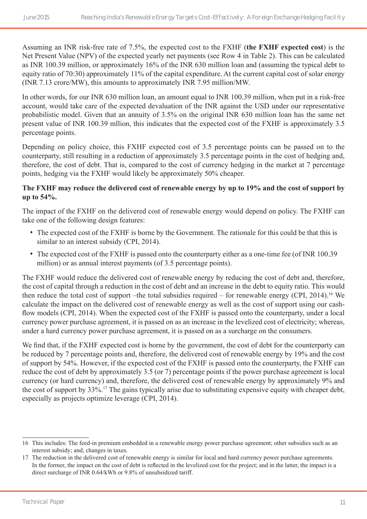Assuming an INR risk-free rate of 7.5%, the expected cost to the FXHF (**the FXHF expected cost**) is the Net Present Value (NPV) of the expected yearly net payments (see Row 4 in Table 2). This can be calculated as INR 100.39 million, or approximately 16% of the INR 630 million loan and (assuming the typical debt to equity ratio of 70:30) approximately 11% of the capital expenditure. At the current capital cost of solar energy (INR 7.13 crore/MW), this amounts to approximately INR 7.95 million/MW.

In other words, for our INR 630 million loan, an amount equal to INR 100.39 million, when put in a risk-free account, would take care of the expected devaluation of the INR against the USD under our representative probabilistic model. Given that an annuity of 3.5% on the original INR 630 million loan has the same net present value of INR 100.39 mllion, this indicates that the expected cost of the FXHF is approximately 3.5 percentage points.

Depending on policy choice, this FXHF expected cost of 3.5 percentage points can be passed on to the counterparty, still resulting in a reduction of approximately 3.5 percentage points in the cost of hedging and, therefore, the cost of debt. That is, compared to the cost of currency hedging in the market at 7 percentage points, hedging via the FXHF would likely be approximately 50% cheaper.

#### **The FXHF may reduce the delivered cost of renewable energy by up to 19% and the cost of support by up to 54%.**

The impact of the FXHF on the delivered cost of renewable energy would depend on policy. The FXHF can take one of the following design features:

- The expected cost of the FXHF is borne by the Government. The rationale for this could be that this is similar to an interest subsidy (CPI, 2014).
- The expected cost of the FXHF is passed onto the counterparty either as a one-time fee (of INR 100.39 million) or as annual interest payments (of 3.5 percentage points).

The FXHF would reduce the delivered cost of renewable energy by reducing the cost of debt and, therefore, the cost of capital through a reduction in the cost of debt and an increase in the debt to equity ratio. This would then reduce the total cost of support –the total subsidies required – for renewable energy (CPI, 2014).16 We calculate the impact on the delivered cost of renewable energy as well as the cost of support using our cashflow models (CPI, 2014). When the expected cost of the FXHF is passed onto the counterparty, under a local currency power purchase agreement, it is passed on as an increase in the levelized cost of electricity; whereas, under a hard currency power purchase agreement, it is passed on as a surcharge on the consumers.

We find that, if the FXHF expected cost is borne by the government, the cost of debt for the counterparty can be reduced by 7 percentage points and, therefore, the delivered cost of renewable energy by 19% and the cost of support by 54%. However, if the expected cost of the FXHF is passed onto the counterparty, the FXHF can reduce the cost of debt by approximately 3.5 (or 7) percentage points if the power purchase agreement is local currency (or hard currency) and, therefore, the delivered cost of renewable energy by approximately 9% and the cost of support by 33%.17 The gains typically arise due to substituting expensive equity with cheaper debt, especially as projects optimize leverage (CPI, 2014).

<sup>16</sup> This includes: The feed-in premium embedded in a renewable energy power purchase agreement; other subsidies such as an interest subsidy; and, changes in taxes.

<sup>17</sup> The reduction in the delivered cost of renewable energy is similar for local and hard currency power purchase agreements. In the former, the impact on the cost of debt is reflected in the levelized cost for the project; and in the latter, the impact is a direct surcharge of INR 0.64/kWh or 9.8% of unsubsidized tariff.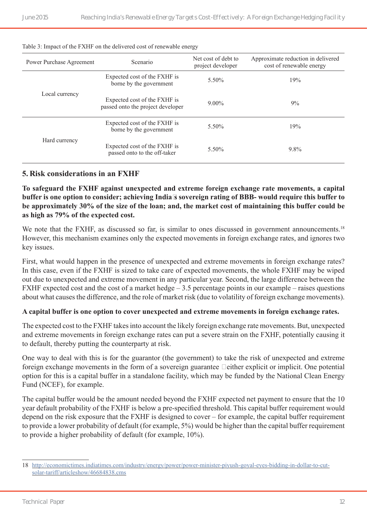| Power Purchase Agreement | Scenario                                                          | Net cost of debt to<br>project developer | Approximate reduction in delivered<br>cost of renewable energy |
|--------------------------|-------------------------------------------------------------------|------------------------------------------|----------------------------------------------------------------|
|                          | Expected cost of the FXHF is<br>borne by the government           | 5.50%                                    | 19%                                                            |
| Local currency           | Expected cost of the FXHF is<br>passed onto the project developer | $9.00\%$                                 | 9%                                                             |
|                          | Expected cost of the FXHF is<br>borne by the government           | 5.50%                                    | 19%                                                            |
| Hard currency            | Expected cost of the FXHF is<br>passed onto to the off-taker      | 5.50%                                    | 9.8%                                                           |

#### Table 3: Impact of the FXHF on the delivered cost of renewable energy

#### **5. Risk considerations in an FXHF**

**To safeguard the FXHF against unexpected and extreme foreign exchange rate movements, a capital buffer is one option to consider; achieving India's sovereign rating of BBB- would require this buffer to be approximately 30% of the size of the loan; and, the market cost of maintaining this buffer could be as high as 79% of the expected cost.**

We note that the FXHF, as discussed so far, is similar to ones discussed in government announcements.<sup>18</sup> However, this mechanism examines only the expected movements in foreign exchange rates, and ignores two key issues.

First, what would happen in the presence of unexpected and extreme movements in foreign exchange rates? In this case, even if the FXHF is sized to take care of expected movements, the whole FXHF may be wiped out due to unexpected and extreme movement in any particular year. Second, the large difference between the FXHF expected cost and the cost of a market hedge – 3.5 percentage points in our example – raises questions about what causes the difference, and the role of market risk (due to volatility of foreign exchange movements).

#### **A capital buffer is one option to cover unexpected and extreme movements in foreign exchange rates.**

The expected cost to the FXHF takes into account the likely foreign exchange rate movements. But, unexpected and extreme movements in foreign exchange rates can put a severe strain on the FXHF, potentially causing it to default, thereby putting the counterparty at risk.

One way to deal with this is for the guarantor (the government) to take the risk of unexpected and extreme foreign exchange movements in the form of a sovereign guarantee – either explicit or implicit. One potential option for this is a capital buffer in a standalone facility, which may be funded by the National Clean Energy Fund (NCEF), for example.

The capital buffer would be the amount needed beyond the FXHF expected net payment to ensure that the 10 year default probability of the FXHF is below a pre-specified threshold. This capital buffer requirement would depend on the risk exposure that the FXHF is designed to cover – for example, the capital buffer requirement to provide a lower probability of default (for example, 5%) would be higher than the capital buffer requirement to provide a higher probability of default (for example, 10%).

<sup>18</sup> [http://economictimes.indiatimes.com/industry/energy/power/power-minister-piyush-goyal-eyes-bidding-in-dollar-to-cut](http://economictimes.indiatimes.com/industry/energy/power/power-minister-piyush-goyal-eyes-bidding-in-dollar-to-cut-solar-tariff/articleshow/46684838.cms)[solar-tariff/articleshow/46684838.cms](http://economictimes.indiatimes.com/industry/energy/power/power-minister-piyush-goyal-eyes-bidding-in-dollar-to-cut-solar-tariff/articleshow/46684838.cms)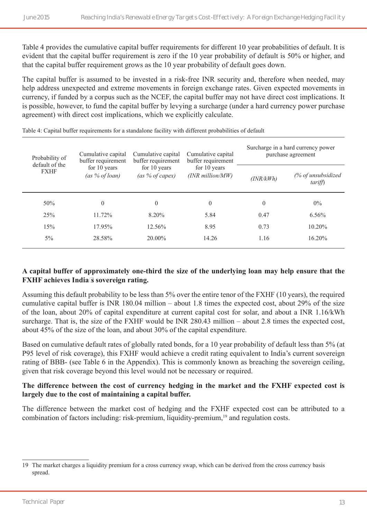Table 4 provides the cumulative capital buffer requirements for different 10 year probabilities of default. It is evident that the capital buffer requirement is zero if the 10 year probability of default is 50% or higher, and that the capital buffer requirement grows as the 10 year probability of default goes down.

The capital buffer is assumed to be invested in a risk-free INR security and, therefore when needed, may help address unexpected and extreme movements in foreign exchange rates. Given expected movements in currency, if funded by a corpus such as the NCEF, the capital buffer may not have direct cost implications. It is possible, however, to fund the capital buffer by levying a surcharge (under a hard currency power purchase agreement) with direct cost implications, which we explicitly calculate.

| Probability of<br>default of the              | Cumulative capital<br>buffer requirement | Cumulative capital<br>buffer requirement | Cumulative capital<br>buffer requirement | Surcharge in a hard currency power<br>purchase agreement |                              |  |
|-----------------------------------------------|------------------------------------------|------------------------------------------|------------------------------------------|----------------------------------------------------------|------------------------------|--|
| for 10 years<br><b>FXHF</b><br>(as % of loan) |                                          | for 10 years<br>(as % of capex)          | for 10 years<br>$(INR$ million/ $MW$ )   | (INR/kWh)                                                | (% of unsubsidized<br>tariff |  |
| 50%                                           | $\theta$                                 | $\theta$                                 | $\overline{0}$                           | $\theta$                                                 | $0\%$                        |  |
| 25%                                           | 11.72%                                   | $8.20\%$                                 | 5.84                                     | 0.47                                                     | 6.56%                        |  |
| 15%                                           | 17.95%                                   | 12.56%                                   | 8.95                                     | 0.73                                                     | $10.20\%$                    |  |
| $5\%$                                         | 28.58%                                   | $20.00\%$                                | 14.26                                    | 1.16                                                     | 16.20%                       |  |
|                                               |                                          |                                          |                                          |                                                          |                              |  |

Table 4: Capital buffer requirements for a standalone facility with different probabilities of default

#### **A capital buffer of approximately one-third the size of the underlying loan may help ensure that the FXHF achieves India's sovereign rating.**

Assuming this default probability to be less than 5% over the entire tenor of the FXHF (10 years), the required cumulative capital buffer is INR 180.04 million – about 1.8 times the expected cost, about 29% of the size of the loan, about 20% of capital expenditure at current capital cost for solar, and about a INR 1.16/kWh surcharge. That is, the size of the FXHF would be INR 280.43 million – about 2.8 times the expected cost, about 45% of the size of the loan, and about 30% of the capital expenditure.

Based on cumulative default rates of globally rated bonds, for a 10 year probability of default less than 5% (at P95 level of risk coverage), this FXHF would achieve a credit rating equivalent to India's current sovereign rating of BBB- (see Table 6 in the Appendix). This is commonly known as breaching the sovereign ceiling, given that risk coverage beyond this level would not be necessary or required.

#### **The difference between the cost of currency hedging in the market and the FXHF expected cost is largely due to the cost of maintaining a capital buffer.**

The difference between the market cost of hedging and the FXHF expected cost can be attributed to a combination of factors including: risk-premium, liquidity-premium,<sup>19</sup> and regulation costs.

<sup>19</sup> The market charges a liquidity premium for a cross currency swap, which can be derived from the cross currency basis spread.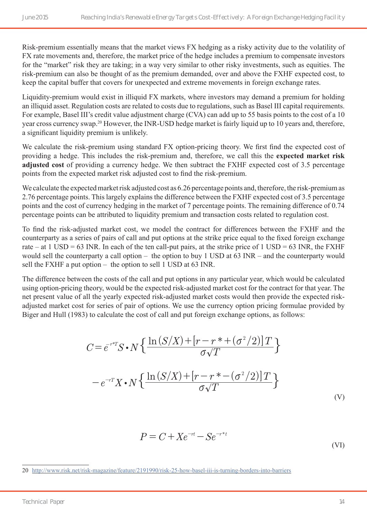Risk-premium essentially means that the market views FX hedging as a risky activity due to the volatility of FX rate movements and, therefore, the market price of the hedge includes a premium to compensate investors for the "market" risk they are taking; in a way very similar to other risky investments, such as equities. The risk-premium can also be thought of as the premium demanded, over and above the FXHF expected cost, to keep the capital buffer that covers for unexpected and extreme movements in foreign exchange rates.

Liquidity-premium would exist in illiquid FX markets, where investors may demand a premium for holding an illiquid asset. Regulation costs are related to costs due to regulations, such as Basel III capital requirements. For example, Basel III's credit value adjustment charge (CVA) can add up to 55 basis points to the cost of a 10 year cross currency swap.20 However, the INR-USD hedge market is fairly liquid up to 10 years and, therefore, a significant liquidity premium is unlikely.

We calculate the risk-premium using standard FX option-pricing theory. We first find the expected cost of providing a hedge. This includes the risk-premium and, therefore, we call this the **expected market risk adjusted cost** of providing a currency hedge. We then subtract the FXHF expected cost of 3.5 percentage points from the expected market risk adjusted cost to find the risk-premium.

We calculate the expected market risk adjusted cost as 6.26 percentage points and, therefore, the risk-premium as 2.76 percentage points. This largely explains the difference between the FXHF expected cost of 3.5 percentage points and the cost of currency hedging in the market of 7 percentage points. The remaining difference of 0.74 percentage points can be attributed to liquidity premium and transaction costs related to regulation cost.

To find the risk-adjusted market cost, we model the contract for differences between the FXHF and the counterparty as a series of pairs of call and put options at the strike price equal to the fixed foreign exchange rate – at 1 USD = 63 INR. In each of the ten call-put pairs, at the strike price of 1 USD = 63 INR, the FXHF would sell the counterparty a call option – the option to buy 1 USD at 63 INR – and the counterparty would sell the FXHF a put option – the option to sell 1 USD at 63 INR.

The difference between the costs of the call and put options in any particular year, which would be calculated using option-pricing theory, would be the expected risk-adjusted market cost for the contract for that year. The net present value of all the yearly expected risk-adjusted market costs would then provide the expected riskadjusted market cost for series of pair of options. We use the currency option pricing formulae provided by Biger and Hull (1983) to calculate the cost of call and put foreign exchange options, as follows:

$$
C = e^{-rT} S \cdot N \left\{ \frac{\ln (S/X) + [r - r^* + (\sigma^2/2)]T}{\sigma \sqrt{T}} \right\}
$$

$$
- e^{-rT} X \cdot N \left\{ \frac{\ln (S/X) + [r - r^* - (\sigma^2/2)]T}{\sigma \sqrt{T}} \right\}
$$
(V)

$$
P = C + Xe^{-rt} - Se^{-rt}
$$
\n<sup>(VI)</sup>

<sup>20</sup> <http://www.risk.net/risk-magazine/feature/2191990/risk-25-how-basel-iii-is-turning-borders-into-barriers>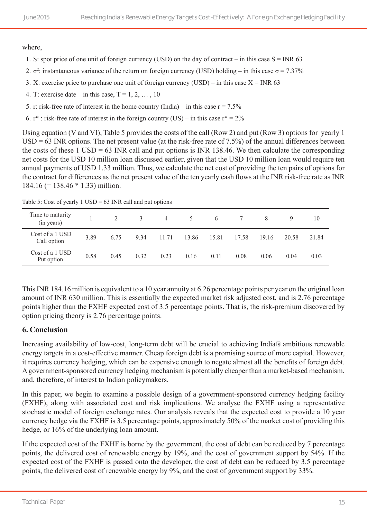where,

- 1. S: spot price of one unit of foreign currency (USD) on the day of contract in this case  $S = INR 63$
- 2.  $\sigma^2$ : instantaneous variance of the return on foreign currency (USD) holding in this case  $\sigma = 7.37\%$
- 3. X: exercise price to purchase one unit of foreign currency (USD) in this case  $X = INR 63$
- 4. T: exercise date in this case,  $T = 1, 2, \ldots, 10$
- 5. r: risk-free rate of interest in the home country (India) in this case  $r = 7.5\%$
- 6.  $r^*$ : risk-free rate of interest in the foreign country (US) in this case  $r^* = 2\%$

Using equation (V and VI), Table 5 provides the costs of the call (Row 2) and put (Row 3) options for yearly 1  $USD = 63$  INR options. The net present value (at the risk-free rate of 7.5%) of the annual differences between the costs of these  $1 \text{ USD} = 63 \text{ INR}$  call and put options is INR 138.46. We then calculate the corresponding net costs for the USD 10 million loan discussed earlier, given that the USD 10 million loan would require ten annual payments of USD 1.33 million. Thus, we calculate the net cost of providing the ten pairs of options for the contract for differences as the net present value of the ten yearly cash flows at the INR risk-free rate as INR 184.16 (= 138.46 \* 1.33) million.

| Time to maturity<br>(in years) |      | 2    | 3    | 4     | 5 <sup>1</sup> | 6     |       |       | 9     | 10    |
|--------------------------------|------|------|------|-------|----------------|-------|-------|-------|-------|-------|
| Cost of a 1 USD<br>Call option | 3.89 | 6.75 | 9.34 | 11.71 | 13.86          | 15.81 | 17.58 | 19.16 | 20.58 | 21.84 |
| Cost of a 1 USD<br>Put option  | 0.58 | 0.45 | 0.32 | 0.23  | 0.16           | 0.11  | 0.08  | 0.06  | 0.04  | 0.03  |

Table 5: Cost of yearly  $1 \text{ USD} = 63 \text{ INR}$  call and put options

This INR 184.16 million is equivalent to a 10 year annuity at 6.26 percentage points per year on the original loan amount of INR 630 million. This is essentially the expected market risk adjusted cost, and is 2.76 percentage points higher than the FXHF expected cost of 3.5 percentage points. That is, the risk-premium discovered by option pricing theory is 2.76 percentage points.

#### **6. Conclusion**

Increasing availability of low-cost, long-term debt will be crucial to achieving India's ambitious renewable energy targets in a cost-effective manner. Cheap foreign debt is a promising source of more capital. However, it requires currency hedging, which can be expensive enough to negate almost all the benefits of foreign debt. A government-sponsored currency hedging mechanism is potentially cheaper than a market-based mechanism, and, therefore, of interest to Indian policymakers.

In this paper, we begin to examine a possible design of a government-sponsored currency hedging facility (FXHF), along with associated cost and risk implications. We analyse the FXHF using a representative stochastic model of foreign exchange rates. Our analysis reveals that the expected cost to provide a 10 year currency hedge via the FXHF is 3.5 percentage points, approximately 50% of the market cost of providing this hedge, or 16% of the underlying loan amount.

If the expected cost of the FXHF is borne by the government, the cost of debt can be reduced by 7 percentage points, the delivered cost of renewable energy by 19%, and the cost of government support by 54%. If the expected cost of the FXHF is passed onto the developer, the cost of debt can be reduced by 3.5 percentage points, the delivered cost of renewable energy by 9%, and the cost of government support by 33%.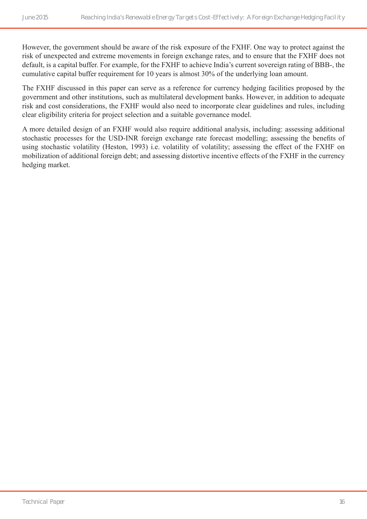However, the government should be aware of the risk exposure of the FXHF. One way to protect against the risk of unexpected and extreme movements in foreign exchange rates, and to ensure that the FXHF does not default, is a capital buffer. For example, for the FXHF to achieve India's current sovereign rating of BBB-, the cumulative capital buffer requirement for 10 years is almost 30% of the underlying loan amount.

The FXHF discussed in this paper can serve as a reference for currency hedging facilities proposed by the government and other institutions, such as multilateral development banks. However, in addition to adequate risk and cost considerations, the FXHF would also need to incorporate clear guidelines and rules, including clear eligibility criteria for project selection and a suitable governance model.

A more detailed design of an FXHF would also require additional analysis, including: assessing additional stochastic processes for the USD-INR foreign exchange rate forecast modelling; assessing the benefits of using stochastic volatility (Heston, 1993) i.e. volatility of volatility; assessing the effect of the FXHF on mobilization of additional foreign debt; and assessing distortive incentive effects of the FXHF in the currency hedging market.